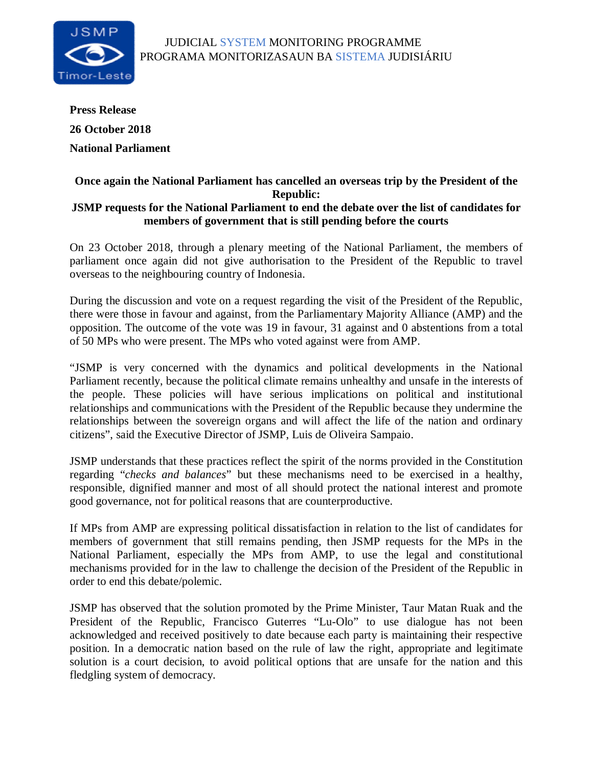

**Press Release 26 October 2018 National Parliament**

## **Once again the National Parliament has cancelled an overseas trip by the President of the Republic: JSMP requests for the National Parliament to end the debate over the list of candidates for members of government that is still pending before the courts**

On 23 October 2018, through a plenary meeting of the National Parliament, the members of parliament once again did not give authorisation to the President of the Republic to travel overseas to the neighbouring country of Indonesia.

During the discussion and vote on a request regarding the visit of the President of the Republic, there were those in favour and against, from the Parliamentary Majority Alliance (AMP) and the opposition. The outcome of the vote was 19 in favour, 31 against and 0 abstentions from a total of 50 MPs who were present. The MPs who voted against were from AMP.

"JSMP is very concerned with the dynamics and political developments in the National Parliament recently, because the political climate remains unhealthy and unsafe in the interests of the people. These policies will have serious implications on political and institutional relationships and communications with the President of the Republic because they undermine the relationships between the sovereign organs and will affect the life of the nation and ordinary citizens", said the Executive Director of JSMP, Luis de Oliveira Sampaio.

JSMP understands that these practices reflect the spirit of the norms provided in the Constitution regarding "*checks and balances*" but these mechanisms need to be exercised in a healthy, responsible, dignified manner and most of all should protect the national interest and promote good governance, not for political reasons that are counterproductive.

If MPs from AMP are expressing political dissatisfaction in relation to the list of candidates for members of government that still remains pending, then JSMP requests for the MPs in the National Parliament, especially the MPs from AMP, to use the legal and constitutional mechanisms provided for in the law to challenge the decision of the President of the Republic in order to end this debate/polemic.

JSMP has observed that the solution promoted by the Prime Minister, Taur Matan Ruak and the President of the Republic, Francisco Guterres "Lu-Olo" to use dialogue has not been acknowledged and received positively to date because each party is maintaining their respective position. In a democratic nation based on the rule of law the right, appropriate and legitimate solution is a court decision, to avoid political options that are unsafe for the nation and this fledgling system of democracy.